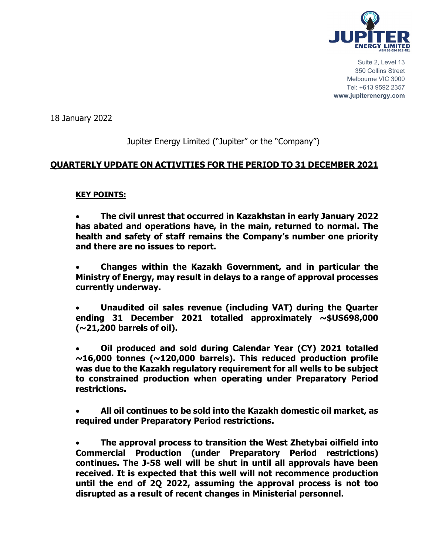

Suite 2, Level 13 350 Collins Street Melbourne VIC 3000 Tel: +613 9592 2357 **www.jupiterenergy.com**

18 January 2022

# Jupiter Energy Limited ("Jupiter" or the "Company")

### **QUARTERLY UPDATE ON ACTIVITIES FOR THE PERIOD TO 31 DECEMBER 2021**

#### **KEY POINTS:**

• **The civil unrest that occurred in Kazakhstan in early January 2022 has abated and operations have, in the main, returned to normal. The health and safety of staff remains the Company's number one priority and there are no issues to report.** 

• **Changes within the Kazakh Government, and in particular the Ministry of Energy, may result in delays to a range of approval processes currently underway.**

• **Unaudited oil sales revenue (including VAT) during the Quarter ending 31 December 2021 totalled approximately ~\$US698,000 (~21,200 barrels of oil).**

• **Oil produced and sold during Calendar Year (CY) 2021 totalled ~16,000 tonnes (~120,000 barrels). This reduced production profile was due to the Kazakh regulatory requirement for all wells to be subject to constrained production when operating under Preparatory Period restrictions.** 

• **All oil continues to be sold into the Kazakh domestic oil market, as required under Preparatory Period restrictions.**

• **The approval process to transition the West Zhetybai oilfield into Commercial Production (under Preparatory Period restrictions) continues. The J-58 well will be shut in until all approvals have been received. It is expected that this well will not recommence production until the end of 2Q 2022, assuming the approval process is not too disrupted as a result of recent changes in Ministerial personnel.**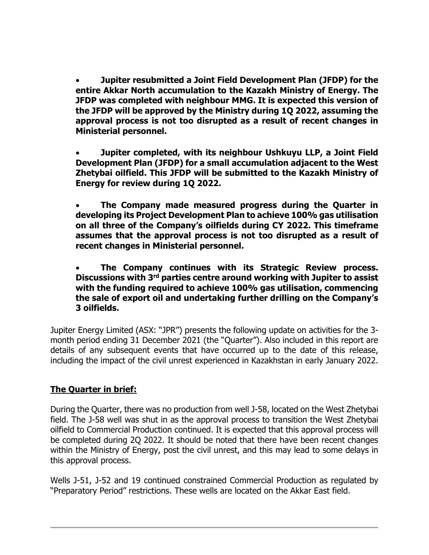• **Jupiter resubmitted a Joint Field Development Plan (JFDP) for the entire Akkar North accumulation to the Kazakh Ministry of Energy. The JFDP was completed with neighbour MMG. It is expected this version of the JFDP will be approved by the Ministry during 1Q 2022, assuming the approval process is not too disrupted as a result of recent changes in Ministerial personnel.**

• **Jupiter completed, with its neighbour Ushkuyu LLP, a Joint Field Development Plan (JFDP) for a small accumulation adjacent to the West Zhetybai oilfield. This JFDP will be submitted to the Kazakh Ministry of Energy for review during 1Q 2022.**

• **The Company made measured progress during the Quarter in developing its Project Development Plan to achieve 100% gas utilisation on all three of the Company's oilfields during CY 2022. This timeframe assumes that the approval process is not too disrupted as a result of recent changes in Ministerial personnel.**

• **The Company continues with its Strategic Review process. Discussions with 3rd parties centre around working with Jupiter to assist with the funding required to achieve 100% gas utilisation, commencing the sale of export oil and undertaking further drilling on the Company's 3 oilfields.**

Jupiter Energy Limited (ASX: "JPR") presents the following update on activities for the 3 month period ending 31 December 2021 (the "Quarter"). Also included in this report are details of any subsequent events that have occurred up to the date of this release, including the impact of the civil unrest experienced in Kazakhstan in early January 2022.

# **The Quarter in brief:**

During the Quarter, there was no production from well J-58, located on the West Zhetybai field. The J-58 well was shut in as the approval process to transition the West Zhetybai oilfield to Commercial Production continued. It is expected that this approval process will be completed during 2Q 2022. It should be noted that there have been recent changes within the Ministry of Energy, post the civil unrest, and this may lead to some delays in this approval process.

Wells J-51, J-52 and 19 continued constrained Commercial Production as regulated by "Preparatory Period" restrictions. These wells are located on the Akkar East field.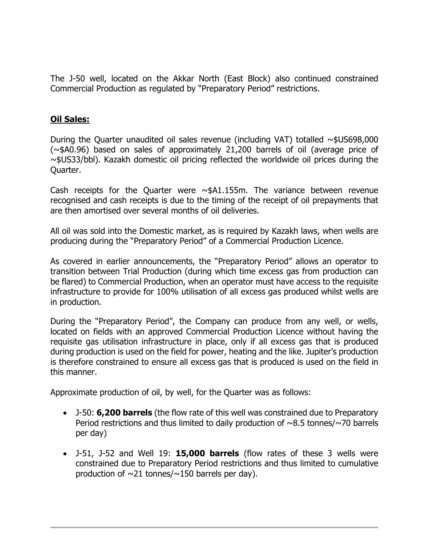The J-50 well, located on the Akkar North (East Block) also continued constrained Commercial Production as regulated by "Preparatory Period" restrictions.

### **Oil Sales:**

During the Quarter unaudited oil sales revenue (including VAT) totalled  $\sim$ \$US698,000 (~\$A0.96) based on sales of approximately 21,200 barrels of oil (average price of ~\$US33/bbl). Kazakh domestic oil pricing reflected the worldwide oil prices during the Quarter.

Cash receipts for the Quarter were  $\sim$ \$A1.155m. The variance between revenue recognised and cash receipts is due to the timing of the receipt of oil prepayments that are then amortised over several months of oil deliveries.

All oil was sold into the Domestic market, as is required by Kazakh laws, when wells are producing during the "Preparatory Period" of a Commercial Production Licence.

As covered in earlier announcements, the "Preparatory Period" allows an operator to transition between Trial Production (during which time excess gas from production can be flared) to Commercial Production, when an operator must have access to the requisite infrastructure to provide for 100% utilisation of all excess gas produced whilst wells are in production.

During the "Preparatory Period", the Company can produce from any well, or wells, located on fields with an approved Commercial Production Licence without having the requisite gas utilisation infrastructure in place, only if all excess gas that is produced during production is used on the field for power, heating and the like. Jupiter's production is therefore constrained to ensure all excess gas that is produced is used on the field in this manner.

Approximate production of oil, by well, for the Quarter was as follows:

- J-50: **6,200 barrels** (the flow rate of this well was constrained due to Preparatory Period restrictions and thus limited to daily production of  $\sim$ 8.5 tonnes/ $\sim$ 70 barrels per day)
- J-51, J-52 and Well 19: **15,000 barrels** (flow rates of these 3 wells were constrained due to Preparatory Period restrictions and thus limited to cumulative production of  $\sim$ 21 tonnes/ $\sim$ 150 barrels per day).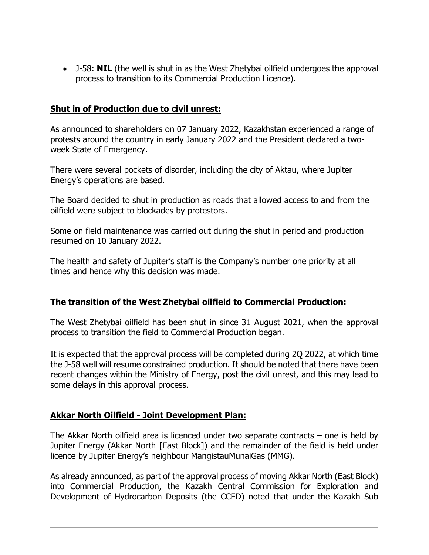• J-58: **NIL** (the well is shut in as the West Zhetybai oilfield undergoes the approval process to transition to its Commercial Production Licence).

### **Shut in of Production due to civil unrest:**

As announced to shareholders on 07 January 2022, Kazakhstan experienced a range of protests around the country in early January 2022 and the President declared a twoweek State of Emergency.

There were several pockets of disorder, including the city of Aktau, where Jupiter Energy's operations are based.

The Board decided to shut in production as roads that allowed access to and from the oilfield were subject to blockades by protestors.

Some on field maintenance was carried out during the shut in period and production resumed on 10 January 2022.

The health and safety of Jupiter's staff is the Company's number one priority at all times and hence why this decision was made.

### **The transition of the West Zhetybai oilfield to Commercial Production:**

The West Zhetybai oilfield has been shut in since 31 August 2021, when the approval process to transition the field to Commercial Production began.

It is expected that the approval process will be completed during 2Q 2022, at which time the J-58 well will resume constrained production. It should be noted that there have been recent changes within the Ministry of Energy, post the civil unrest, and this may lead to some delays in this approval process.

### **Akkar North Oilfield - Joint Development Plan:**

The Akkar North oilfield area is licenced under two separate contracts – one is held by Jupiter Energy (Akkar North [East Block]) and the remainder of the field is held under licence by Jupiter Energy's neighbour MangistauMunaiGas (MMG).

As already announced, as part of the approval process of moving Akkar North (East Block) into Commercial Production, the Kazakh Central Commission for Exploration and Development of Hydrocarbon Deposits (the CCED) noted that under the Kazakh Sub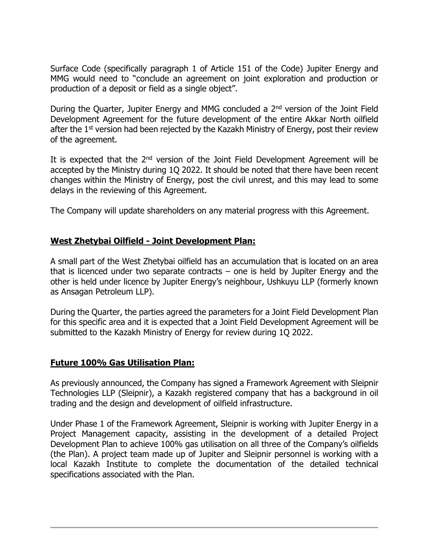Surface Code (specifically paragraph 1 of Article 151 of the Code) Jupiter Energy and MMG would need to "conclude an agreement on joint exploration and production or production of a deposit or field as a single object".

During the Quarter, Jupiter Energy and MMG concluded a 2<sup>nd</sup> version of the Joint Field Development Agreement for the future development of the entire Akkar North oilfield after the  $1<sup>st</sup>$  version had been rejected by the Kazakh Ministry of Energy, post their review of the agreement.

It is expected that the  $2<sup>nd</sup>$  version of the Joint Field Development Agreement will be accepted by the Ministry during 1Q 2022. It should be noted that there have been recent changes within the Ministry of Energy, post the civil unrest, and this may lead to some delays in the reviewing of this Agreement.

The Company will update shareholders on any material progress with this Agreement.

# **West Zhetybai Oilfield - Joint Development Plan:**

A small part of the West Zhetybai oilfield has an accumulation that is located on an area that is licenced under two separate contracts  $-$  one is held by Jupiter Energy and the other is held under licence by Jupiter Energy's neighbour, Ushkuyu LLP (formerly known as Ansagan Petroleum LLP).

During the Quarter, the parties agreed the parameters for a Joint Field Development Plan for this specific area and it is expected that a Joint Field Development Agreement will be submitted to the Kazakh Ministry of Energy for review during 1Q 2022.

### **Future 100% Gas Utilisation Plan:**

As previously announced, the Company has signed a Framework Agreement with Sleipnir Technologies LLP (Sleipnir), a Kazakh registered company that has a background in oil trading and the design and development of oilfield infrastructure.

Under Phase 1 of the Framework Agreement, Sleipnir is working with Jupiter Energy in a Project Management capacity, assisting in the development of a detailed Project Development Plan to achieve 100% gas utilisation on all three of the Company's oilfields (the Plan). A project team made up of Jupiter and Sleipnir personnel is working with a local Kazakh Institute to complete the documentation of the detailed technical specifications associated with the Plan.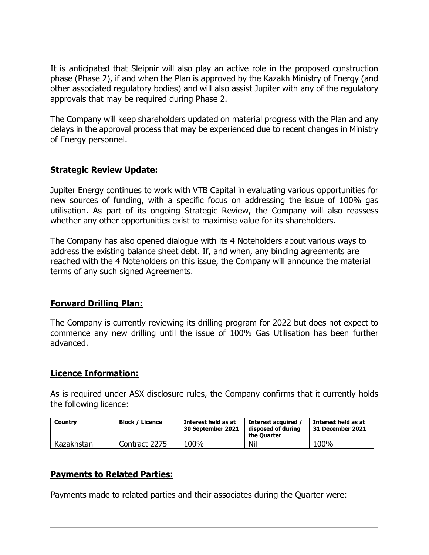It is anticipated that Sleipnir will also play an active role in the proposed construction phase (Phase 2), if and when the Plan is approved by the Kazakh Ministry of Energy (and other associated regulatory bodies) and will also assist Jupiter with any of the regulatory approvals that may be required during Phase 2.

The Company will keep shareholders updated on material progress with the Plan and any delays in the approval process that may be experienced due to recent changes in Ministry of Energy personnel.

### **Strategic Review Update:**

Jupiter Energy continues to work with VTB Capital in evaluating various opportunities for new sources of funding, with a specific focus on addressing the issue of 100% gas utilisation. As part of its ongoing Strategic Review, the Company will also reassess whether any other opportunities exist to maximise value for its shareholders.

The Company has also opened dialogue with its 4 Noteholders about various ways to address the existing balance sheet debt. If, and when, any binding agreements are reached with the 4 Noteholders on this issue, the Company will announce the material terms of any such signed Agreements.

### **Forward Drilling Plan:**

The Company is currently reviewing its drilling program for 2022 but does not expect to commence any new drilling until the issue of 100% Gas Utilisation has been further advanced.

### **Licence Information:**

As is required under ASX disclosure rules, the Company confirms that it currently holds the following licence:

| Country    | <b>Block / Licence</b> | Interest held as at<br>30 September 2021 | Interest acquired<br>disposed of during<br>the Ouarter | Interest held as at<br>31 December 2021 |
|------------|------------------------|------------------------------------------|--------------------------------------------------------|-----------------------------------------|
| Kazakhstan | Contract 2275          | 100%                                     | Nil                                                    | 100%                                    |

# **Payments to Related Parties:**

Payments made to related parties and their associates during the Quarter were: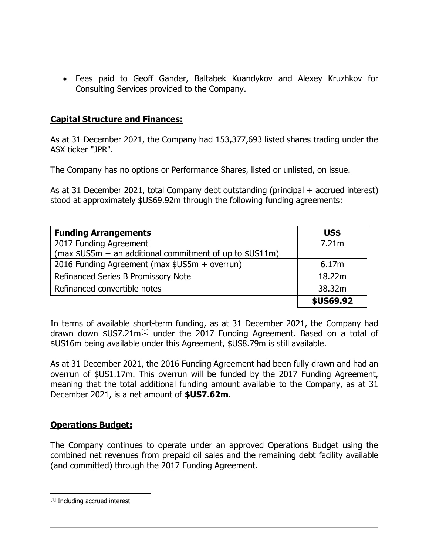• Fees paid to Geoff Gander, Baltabek Kuandykov and Alexey Kruzhkov for Consulting Services provided to the Company.

#### **Capital Structure and Finances:**

As at 31 December 2021, the Company had 153,377,693 listed shares trading under the ASX ticker "JPR".

The Company has no options or Performance Shares, listed or unlisted, on issue.

As at 31 December 2021, total Company debt outstanding (principal + accrued interest) stood at approximately \$US69.92m through the following funding agreements:

| <b>Funding Arrangements</b>                                | US\$      |
|------------------------------------------------------------|-----------|
| 2017 Funding Agreement                                     | 7.21m     |
| (max $$US5m + an additional commitment of up to $US11m$$ ) |           |
| 2016 Funding Agreement (max \$US5m + overrun)              | 6.17m     |
| Refinanced Series B Promissory Note                        | 18.22m    |
| Refinanced convertible notes                               | 38.32m    |
|                                                            | \$US69.92 |

In terms of available short-term funding, as at 31 December 2021, the Company had drawn down  $$US7.21m<sup>[1]</sup>$  $$US7.21m<sup>[1]</sup>$  $$US7.21m<sup>[1]</sup>$  under the 2017 Funding Agreement. Based on a total of \$US16m being available under this Agreement, \$US8.79m is still available.

As at 31 December 2021, the 2016 Funding Agreement had been fully drawn and had an overrun of \$US1.17m. This overrun will be funded by the 2017 Funding Agreement, meaning that the total additional funding amount available to the Company, as at 31 December 2021, is a net amount of **\$US7.62m**.

### **Operations Budget:**

The Company continues to operate under an approved Operations Budget using the combined net revenues from prepaid oil sales and the remaining debt facility available (and committed) through the 2017 Funding Agreement.

<span id="page-6-0"></span><sup>[1]</sup> Including accrued interest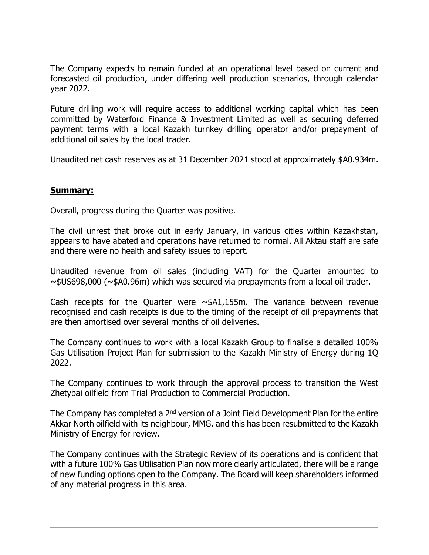The Company expects to remain funded at an operational level based on current and forecasted oil production, under differing well production scenarios, through calendar year 2022.

Future drilling work will require access to additional working capital which has been committed by Waterford Finance & Investment Limited as well as securing deferred payment terms with a local Kazakh turnkey drilling operator and/or prepayment of additional oil sales by the local trader.

Unaudited net cash reserves as at 31 December 2021 stood at approximately \$A0.934m.

#### **Summary:**

Overall, progress during the Quarter was positive.

The civil unrest that broke out in early January, in various cities within Kazakhstan, appears to have abated and operations have returned to normal. All Aktau staff are safe and there were no health and safety issues to report.

Unaudited revenue from oil sales (including VAT) for the Quarter amounted to ~\$US698,000 (~\$A0.96m) which was secured via prepayments from a local oil trader.

Cash receipts for the Quarter were  $\sim$ \$A1,155m. The variance between revenue recognised and cash receipts is due to the timing of the receipt of oil prepayments that are then amortised over several months of oil deliveries.

The Company continues to work with a local Kazakh Group to finalise a detailed 100% Gas Utilisation Project Plan for submission to the Kazakh Ministry of Energy during 1Q 2022.

The Company continues to work through the approval process to transition the West Zhetybai oilfield from Trial Production to Commercial Production.

The Company has completed a 2<sup>nd</sup> version of a Joint Field Development Plan for the entire Akkar North oilfield with its neighbour, MMG, and this has been resubmitted to the Kazakh Ministry of Energy for review.

The Company continues with the Strategic Review of its operations and is confident that with a future 100% Gas Utilisation Plan now more clearly articulated, there will be a range of new funding options open to the Company. The Board will keep shareholders informed of any material progress in this area.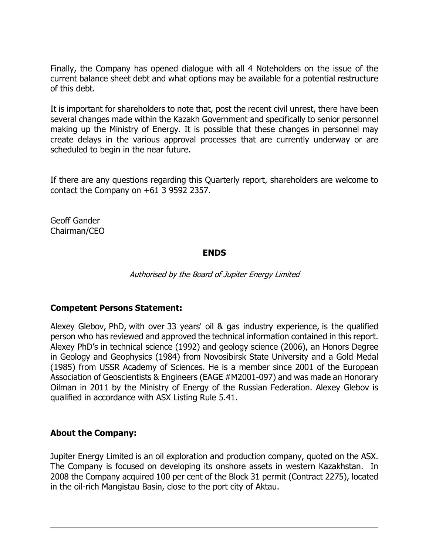Finally, the Company has opened dialogue with all 4 Noteholders on the issue of the current balance sheet debt and what options may be available for a potential restructure of this debt.

It is important for shareholders to note that, post the recent civil unrest, there have been several changes made within the Kazakh Government and specifically to senior personnel making up the Ministry of Energy. It is possible that these changes in personnel may create delays in the various approval processes that are currently underway or are scheduled to begin in the near future.

If there are any questions regarding this Quarterly report, shareholders are welcome to contact the Company on +61 3 9592 2357.

Geoff Gander Chairman/CEO

#### **ENDS**

Authorised by the Board of Jupiter Energy Limited

### **Competent Persons Statement:**

Alexey Glebov, PhD, with over 33 years' oil & gas industry experience, is the qualified person who has reviewed and approved the technical information contained in this report. Alexey PhD's in technical science (1992) and geology science (2006), an Honors Degree in Geology and Geophysics (1984) from Novosibirsk State University and a Gold Medal (1985) from USSR Academy of Sciences. He is a member since 2001 of the European Association of Geoscientists & Engineers (EAGE #M2001-097) and was made an Honorary Oilman in 2011 by the Ministry of Energy of the Russian Federation. Alexey Glebov is qualified in accordance with ASX Listing Rule 5.41.

### **About the Company:**

Jupiter Energy Limited is an oil exploration and production company, quoted on the ASX. The Company is focused on developing its onshore assets in western Kazakhstan. In 2008 the Company acquired 100 per cent of the Block 31 permit (Contract 2275), located in the oil-rich Mangistau Basin, close to the port city of Aktau.